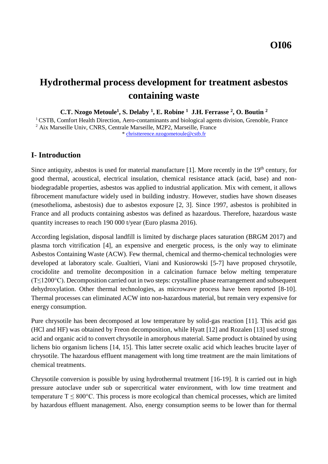# **Hydrothermal process development for treatment asbestos containing waste**

**C.T. Nzogo Metoule<sup>1</sup> , S. Delaby <sup>1</sup> , E. Robine <sup>1</sup> J.H. Ferrasse <sup>2</sup> , O. Boutin <sup>2</sup>**

 $1<sup>1</sup> CSTR$ , Comfort Health Direction, Aero-contaminants and biological agents division, Grenoble, France <sup>2</sup> Aix Marseille Univ, CNRS, Centrale Marseille, M2P2, Marseille, France \* [christterence.nzogometoule@cstb.fr](mailto:christterence.nzogometoule@cstb.fr)

# **I- Introduction**

Since antiquity, asbestos is used for material manufacture  $[1]$ . More recently in the  $19<sup>th</sup>$  century, for good thermal, acoustical, electrical insulation, chemical resistance attack (acid, base) and nonbiodegradable properties, asbestos was applied to industrial application. Mix with cement, it allows fibrocement manufacture widely used in building industry. However, studies have shown diseases (mesothelioma, asbestosis) due to asbestos exposure [\[2,](#page-5-1) [3\]](#page-5-2). Since 1997, asbestos is prohibited in France and all products containing asbestos was defined as hazardous. Therefore, hazardous waste quantity increases to reach 190 000 t/year (Euro plasma 2016).

According legislation, disposal landfill is limited by discharge places saturation (BRGM 2017) and plasma torch vitrification [\[4\]](#page-5-3), an expensive and energetic process, is the only way to eliminate Asbestos Containing Waste (ACW). Few thermal, chemical and thermo-chemical technologies were developed at laboratory scale. Gualtieri, Viani and Kusiorowski [\[5-7\]](#page-5-4) have proposed chrysotile, crocidolite and tremolite decomposition in a calcination furnace below melting temperature (T≤1200°C). Decomposition carried out in two steps: crystalline phase rearrangement and subsequent dehydroxylation. Other thermal technologies, as microwave process have been reported [\[8-10\]](#page-5-5). Thermal processes can eliminated ACW into non-hazardous material, but remain very expensive for energy consumption.

Pure chrysotile has been decomposed at low temperature by solid-gas reaction [\[11\]](#page-5-6). This acid gas (HCl and HF) was obtained by Freon decomposition, while Hyatt [\[12\]](#page-5-7) and Rozalen [\[13\]](#page-5-8) used strong acid and organic acid to convert chrysotile in amorphous material. Same product is obtained by using lichens bio organism lichens [\[14,](#page-5-9) [15\]](#page-5-10). This latter secrete oxalic acid which leaches brucite layer of chrysotile. The hazardous effluent management with long time treatment are the main limitations of chemical treatments.

Chrysotile conversion is possible by using hydrothermal treatment [\[16-19\]](#page-5-11). It is carried out in high pressure autoclave under sub or supercritical water environment, with low time treatment and temperature  $T \leq 800^{\circ}$ C. This process is more ecological than chemical processes, which are limited by hazardous effluent management. Also, energy consumption seems to be lower than for thermal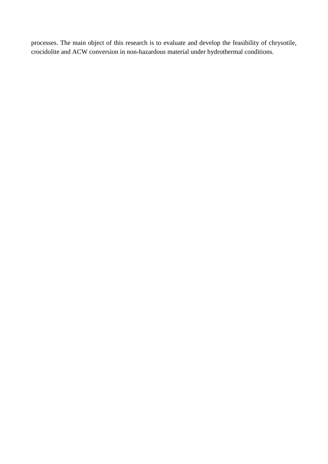processes. The main object of this research is to evaluate and develop the feasibility of chrysotile, crocidolite and ACW conversion in non-hazardous material under hydrothermal conditions.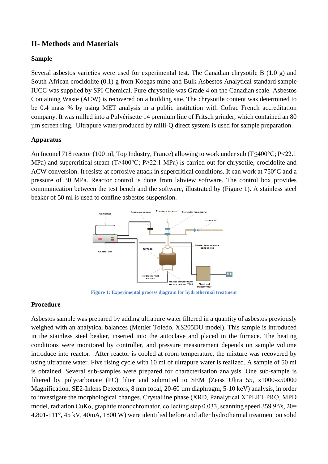# **II- Methods and Materials**

## **Sample**

Several asbestos varieties were used for experimental test. The Canadian chrysotile B (1.0 g) and South African crocidolite (0.1) g from Koegas mine and Bulk Asbestos Analytical standard sample IUCC was supplied by SPI-Chemical. Pure chrysotile was Grade 4 on the Canadian scale. Asbestos Containing Waste (ACW) is recovered on a building site. The chrysotile content was determined to be 0.4 mass % by using MET analysis in a public institution with Cofrac French accreditation company. It was milled into a Pulvérisette 14 premium line of Fritsch grinder, which contained an 80 µm screen ring. Ultrapure water produced by milli-Q direct system is used for sample preparation.

## **Apparatus**

An Inconel 718 reactor (100 ml, Top Industry, France) allowing to work under sub (T≤400°C; P<22.1 MPa) and supercritical steam (T≥400°C; P≥22.1 MPa) is carried out for chrysotile, crocidolite and ACW conversion. It resists at corrosive attack in supercritical conditions. It can work at 750°C and a pressure of 30 MPa. Reactor control is done from labview software. The control box provides communication between the test bench and the software, illustrated by [\(Figure 1\)](#page-2-0). A stainless steel beaker of 50 ml is used to confine asbestos suspension.



**Figure 1: Experimental process diagram for hydrothermal treatment** 

## <span id="page-2-0"></span>**Procedure**

Asbestos sample was prepared by adding ultrapure water filtered in a quantity of asbestos previously weighed with an analytical balances (Mettler Toledo, XS205DU model). This sample is introduced in the stainless steel beaker, inserted into the autoclave and placed in the furnace. The heating conditions were monitored by controller, and pressure measurement depends on sample volume introduce into reactor. After reactor is cooled at room temperature, the mixture was recovered by using ultrapure water. Five rising cycle with 10 ml of ultrapure water is realized. A sample of 50 ml is obtained. Several sub-samples were prepared for characterisation analysis. One sub-sample is filtered by polycarbonate (PC) filter and submitted to SEM (Zeiss Ultra 55, x1000-x50000 Magnification, SE2-Inlens Detectors, 8 mm focal, 20-60  $\mu$ m diaphragm, 5-10 keV) analysis, in order to investigate the morphological changes. Crystalline phase (XRD, Panalytical X'PERT PRO, MPD model, radiation CuKα, graphite monochromator, collecting step 0.033, scanning speed 359.9°/s, 2θ= 4.801-111°, 45 kV, 40mA, 1800 W) were identified before and after hydrothermal treatment on solid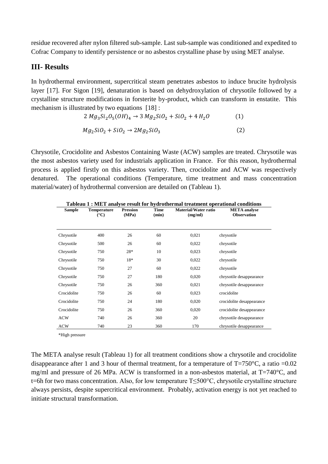residue recovered after nylon filtered sub-sample. Last sub-sample was conditioned and expedited to Cofrac Company to identify persistence or no asbestos crystalline phase by using MET analyse.

## **III- Results**

In hydrothermal environment, supercritical steam penetrates asbestos to induce brucite hydrolysis layer [\[17\]](#page-5-12). For Sigon [\[19\]](#page-5-13), denaturation is based on dehydroxylation of chrysotile followed by a crystalline structure modifications in forsterite by-product, which can transform in enstatite. This mechanism is illustrated by two equations [\[18\]](#page-5-14):

$$
2 Mg3Si2O5(OH)4 \to 3 Mg2SiO2 + SiO2 + 4 H2O
$$
 (1)  
\n
$$
Mg2SiO2 + SiO2 \to 2 Mg2SiO3
$$
 (2)

Chrysotile, Crocidolite and Asbestos Containing Waste (ACW) samples are treated. Chrysotile was the most asbestos variety used for industrials application in France. For this reason, hydrothermal process is applied firstly on this asbestos variety. Then, crocidolite and ACW was respectively denatured. The operational conditions (Temperature, time treatment and mass concentration material/water) of hydrothermal conversion are detailed on [\(Tableau 1\)](#page-3-0).

<span id="page-3-0"></span>

| Tableau 1 : MET analyse result for hydrothermal treatment operational conditions |                                       |                          |               |                                 |                                           |
|----------------------------------------------------------------------------------|---------------------------------------|--------------------------|---------------|---------------------------------|-------------------------------------------|
| <b>Sample</b>                                                                    | <b>Temperature</b><br>$({}^{\circ}C)$ | <b>Pression</b><br>(MPa) | Time<br>(min) | Material/Water ratio<br>(mg/ml) | <b>META</b> analyse<br><b>Observation</b> |
| Chrysotile                                                                       | 400                                   | 26                       | 60            | 0,021                           | chrysotile                                |
| Chrysotile                                                                       | 500                                   | 26                       | 60            | 0,022                           | chrysotile                                |
| Chrysotile                                                                       | 750                                   | 28*                      | 10            | 0,023                           | chrysotile                                |
| Chrysotile                                                                       | 750                                   | 18*                      | 30            | 0,022                           | chrysotile                                |
| Chrysotile                                                                       | 750                                   | 27                       | 60            | 0,022                           | chrysotile                                |
| Chrysotile                                                                       | 750                                   | 27                       | 180           | 0,020                           | chrysotile desappearance                  |
| Chrysotile                                                                       | 750                                   | 26                       | 360           | 0,021                           | chrysotile desappearance                  |
| Crocidolite                                                                      | 750                                   | 26                       | 60            | 0,023                           | crocidolite                               |
| Crocidolite                                                                      | 750                                   | 24                       | 180           | 0,020                           | crocidolite desappearance                 |
| Crocidolite                                                                      | 750                                   | 26                       | 360           | 0,020                           | crocidolite desappearance                 |
| <b>ACW</b>                                                                       | 740                                   | 26                       | 360           | 20                              | chrysotile desappearance                  |
| <b>ACW</b>                                                                       | 740                                   | 23                       | 360           | 170                             | chrysotile desappearance                  |

\*High pressure

The META analyse result [\(Tableau 1\)](#page-3-0) for all treatment conditions show a chrysotile and crocidolite disappearance after 1 and 3 hour of thermal treatment, for a temperature of  $T=750^{\circ}$ C, a ratio =0.02 mg/ml and pressure of 26 MPa. ACW is transformed in a non-asbestos material, at T=740°C, and t=6h for two mass concentration. Also, for low temperature T≤500°C, chrysotile crystalline structure always persists, despite supercritical environment. Probably, activation energy is not yet reached to initiate structural transformation.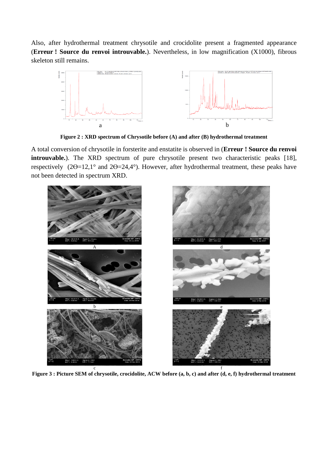Also, after hydrothermal treatment chrysotile and crocidolite present a fragmented appearance (**Erreur ! Source du renvoi introuvable.**). Nevertheless, in low magnification (X1000), fibrous skeleton still remains.



**Figure 2 : XRD spectrum of Chrysotile before (A) and after (B) hydrothermal treatment**

A total conversion of chrysotile in forsterite and enstatite is observed in (**Erreur ! Source du renvoi introuvable.**). The XRD spectrum of pure chrysotile present two characteristic peaks [\[18\]](#page-5-14), respectively (2ϴ=12,1° and 2ϴ=24,4°). However, after hydrothermal treatment, these peaks have not been detected in spectrum XRD.



**Figure 3 : Picture SEM of chrysotile, crocidolite, ACW before (a, b, c) and after (d, e, f) hydrothermal treatment**